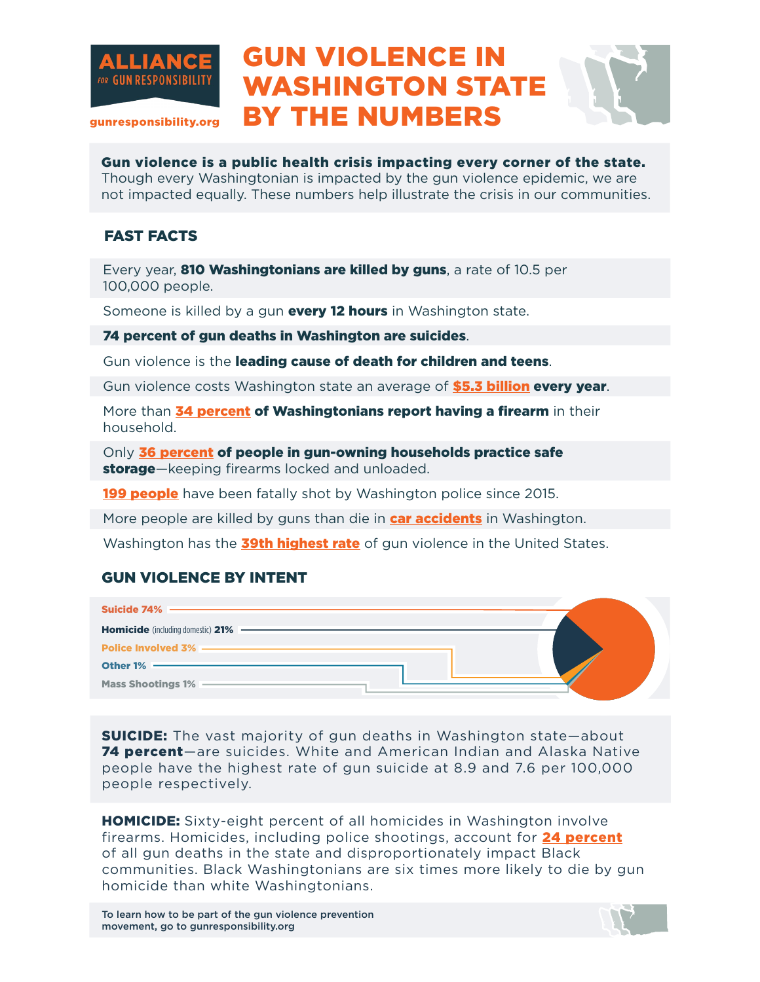

## GUN VIOLENCE IN WASHINGTON STATE BY THE NUMBERS



gunresponsibility.org

Gun violence is a public health crisis impacting every corner of the state. Though every Washingtonian is impacted by the gun violence epidemic, we are not impacted equally. These numbers help illustrate the crisis in our communities.

## FAST FACTS

Every year, **810 Washingtonians are killed by guns**, a rate of 10.5 per 100,000 people.

Someone is killed by a gun **every 12 hours** in Washington state.

74 percent of gun deaths in Washington are suicides.

Gun violence is the leading cause of death for children and teens.

Gun violence costs Washington state an average of **\$5.3 billion every year**.

More than 34 percent of Washingtonians report having a firearm in their household.

Only 36 percent of people in gun-owning households practice safe storage—keeping firearms locked and unloaded.

**199 people** have been fatally shot by Washington police since 2015.

More people are killed by guns than die in **car accidents** in Washington.

Washington has the **39th highest rate** of gun violence in the United States.

## GUN VIOLENCE BY INTENT

| Suicide $74\%$ —                         |  |
|------------------------------------------|--|
| <b>Homicide</b> (including domestic) 21% |  |
| <b>Police Involved 3% -</b>              |  |
| Other $1\%$ –                            |  |
| Mass Shootings 1% -                      |  |

**SUICIDE:** The vast majority of gun deaths in Washington state-about 74 percent—are suicides. White and American Indian and Alaska Native people have the highest rate of gun suicide at 8.9 and 7.6 per 100,000 people respectively.

**HOMICIDE:** Sixty-eight percent of all homicides in Washington involve firearms. Homicides, including police shootings, account for 24 percent of all gun deaths in the state and disproportionately impact Black communities. Black Washingtonians are six times more likely to die by gun homicide than white Washingtonians.

To learn how to be part of the gun violence prevention movement, go to gunresponsibility.org